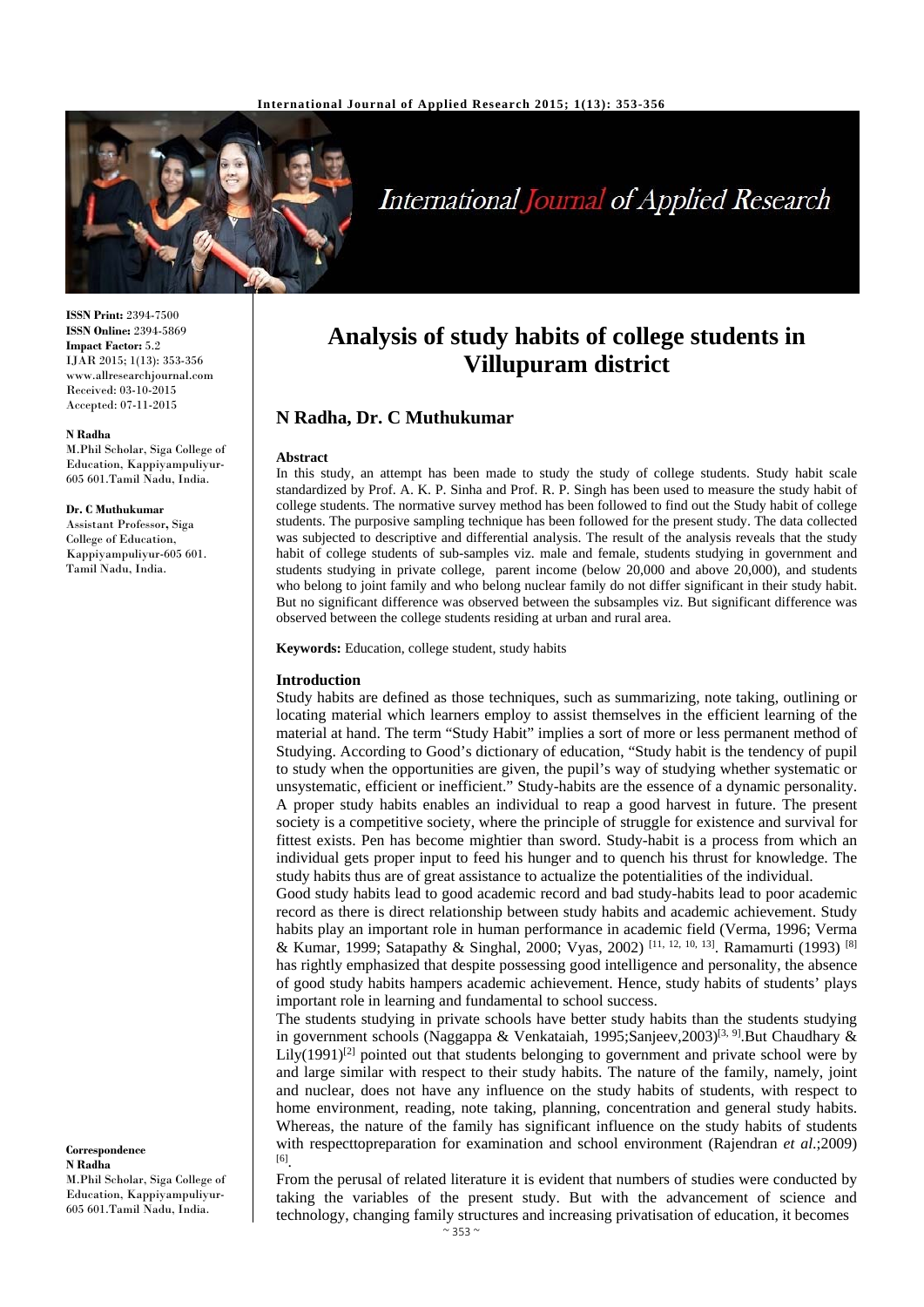

# International Journal of Applied Research

**ISSN Print:** 2394-7500 **ISSN Online:** 2394-5869 **Impact Factor:** 5.2 IJAR 2015; 1(13): 353-356 www.allresearchjournal.com Received: 03-10-2015 Accepted: 07-11-2015

#### **N Radha**

M.Phil Scholar, Siga College of Education, Kappiyampuliyur-605 601.Tamil Nadu, India.

#### **Dr. C Muthukumar**

Assistant Professor**,** Siga College of Education, Kappiyampuliyur-605 601. Tamil Nadu, India.

**Correspondence N Radha** M.Phil Scholar, Siga College of Education, Kappiyampuliyur-605 601.Tamil Nadu, India.

# **Analysis of study habits of college students in Villupuram district**

# **N Radha, Dr. C Muthukumar**

#### **Abstract**

In this study, an attempt has been made to study the study of college students. Study habit scale standardized by Prof. A. K. P. Sinha and Prof. R. P. Singh has been used to measure the study habit of college students. The normative survey method has been followed to find out the Study habit of college students. The purposive sampling technique has been followed for the present study. The data collected was subjected to descriptive and differential analysis. The result of the analysis reveals that the study habit of college students of sub-samples viz. male and female, students studying in government and students studying in private college, parent income (below 20,000 and above 20,000), and students who belong to joint family and who belong nuclear family do not differ significant in their study habit. But no significant difference was observed between the subsamples viz. But significant difference was observed between the college students residing at urban and rural area.

**Keywords:** Education, college student, study habits

#### **Introduction**

Study habits are defined as those techniques, such as summarizing, note taking, outlining or locating material which learners employ to assist themselves in the efficient learning of the material at hand. The term "Study Habit" implies a sort of more or less permanent method of Studying. According to Good's dictionary of education, "Study habit is the tendency of pupil to study when the opportunities are given, the pupil's way of studying whether systematic or unsystematic, efficient or inefficient." Study-habits are the essence of a dynamic personality. A proper study habits enables an individual to reap a good harvest in future. The present society is a competitive society, where the principle of struggle for existence and survival for fittest exists. Pen has become mightier than sword. Study-habit is a process from which an individual gets proper input to feed his hunger and to quench his thrust for knowledge. The study habits thus are of great assistance to actualize the potentialities of the individual.

Good study habits lead to good academic record and bad study-habits lead to poor academic record as there is direct relationship between study habits and academic achievement. Study habits play an important role in human performance in academic field (Verma, 1996; Verma & Kumar, 1999; Satapathy & Singhal, 2000; Vyas, 2002) [11, 12, 10, 13]. Ramamurti (1993) [8] has rightly emphasized that despite possessing good intelligence and personality, the absence of good study habits hampers academic achievement. Hence, study habits of students' plays important role in learning and fundamental to school success.

The students studying in private schools have better study habits than the students studying in government schools (Naggappa & Venkataiah, 1995;Sanjeev,2003)<sup>[3, 9]</sup>.But Chaudhary & Lily $(1991)^{[2]}$  pointed out that students belonging to government and private school were by and large similar with respect to their study habits. The nature of the family, namely, joint and nuclear, does not have any influence on the study habits of students, with respect to home environment, reading, note taking, planning, concentration and general study habits. Whereas, the nature of the family has significant influence on the study habits of students with respecttopreparation for examination and school environment (Rajendran *et al*.;2009) [6].

From the perusal of related literature it is evident that numbers of studies were conducted by taking the variables of the present study. But with the advancement of science and technology, changing family structures and increasing privatisation of education, it becomes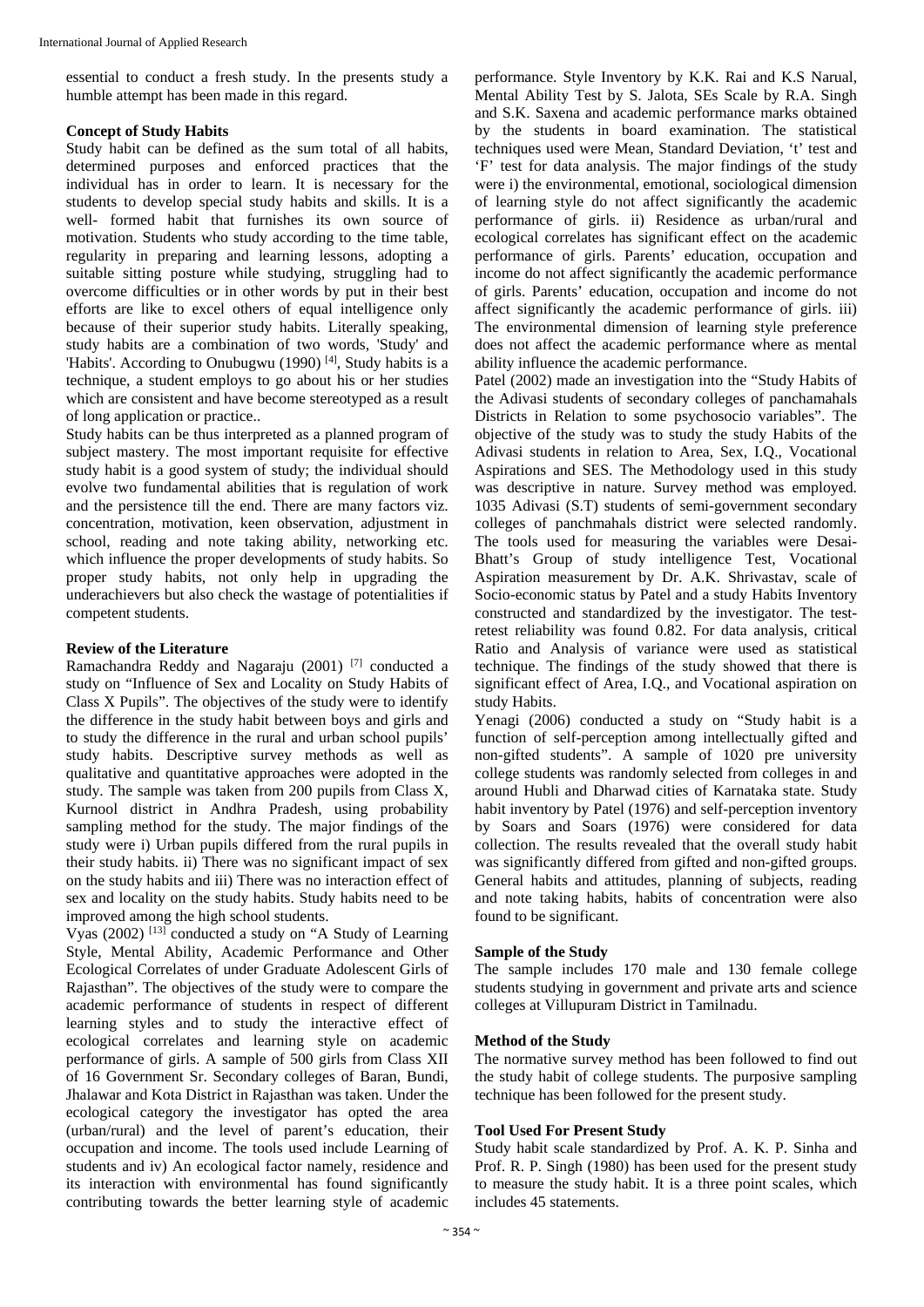essential to conduct a fresh study. In the presents study a humble attempt has been made in this regard.

#### **Concept of Study Habits**

Study habit can be defined as the sum total of all habits, determined purposes and enforced practices that the individual has in order to learn. It is necessary for the students to develop special study habits and skills. It is a well- formed habit that furnishes its own source of motivation. Students who study according to the time table, regularity in preparing and learning lessons, adopting a suitable sitting posture while studying, struggling had to overcome difficulties or in other words by put in their best efforts are like to excel others of equal intelligence only because of their superior study habits. Literally speaking, study habits are a combination of two words, 'Study' and 'Habits'. According to Onubugwu (1990)<sup>[4]</sup>, Study habits is a technique, a student employs to go about his or her studies which are consistent and have become stereotyped as a result of long application or practice..

Study habits can be thus interpreted as a planned program of subject mastery. The most important requisite for effective study habit is a good system of study; the individual should evolve two fundamental abilities that is regulation of work and the persistence till the end. There are many factors viz. concentration, motivation, keen observation, adjustment in school, reading and note taking ability, networking etc. which influence the proper developments of study habits. So proper study habits, not only help in upgrading the underachievers but also check the wastage of potentialities if competent students.

#### **Review of the Literature**

Ramachandra Reddy and Nagaraju (2001) [7] conducted a study on "Influence of Sex and Locality on Study Habits of Class X Pupils". The objectives of the study were to identify the difference in the study habit between boys and girls and to study the difference in the rural and urban school pupils' study habits. Descriptive survey methods as well as qualitative and quantitative approaches were adopted in the study. The sample was taken from 200 pupils from Class X, Kurnool district in Andhra Pradesh, using probability sampling method for the study. The major findings of the study were i) Urban pupils differed from the rural pupils in their study habits. ii) There was no significant impact of sex on the study habits and iii) There was no interaction effect of sex and locality on the study habits. Study habits need to be improved among the high school students.

Vyas (2002) [13] conducted a study on "A Study of Learning Style, Mental Ability, Academic Performance and Other Ecological Correlates of under Graduate Adolescent Girls of Rajasthan". The objectives of the study were to compare the academic performance of students in respect of different learning styles and to study the interactive effect of ecological correlates and learning style on academic performance of girls. A sample of 500 girls from Class XII of 16 Government Sr. Secondary colleges of Baran, Bundi, Jhalawar and Kota District in Rajasthan was taken. Under the ecological category the investigator has opted the area (urban/rural) and the level of parent's education, their occupation and income. The tools used include Learning of students and iv) An ecological factor namely, residence and its interaction with environmental has found significantly contributing towards the better learning style of academic

performance. Style Inventory by K.K. Rai and K.S Narual, Mental Ability Test by S. Jalota, SEs Scale by R.A. Singh and S.K. Saxena and academic performance marks obtained by the students in board examination. The statistical techniques used were Mean, Standard Deviation, 't' test and 'F' test for data analysis. The major findings of the study were i) the environmental, emotional, sociological dimension of learning style do not affect significantly the academic performance of girls. ii) Residence as urban/rural and ecological correlates has significant effect on the academic performance of girls. Parents' education, occupation and income do not affect significantly the academic performance of girls. Parents' education, occupation and income do not affect significantly the academic performance of girls. iii) The environmental dimension of learning style preference does not affect the academic performance where as mental ability influence the academic performance.

Patel (2002) made an investigation into the "Study Habits of the Adivasi students of secondary colleges of panchamahals Districts in Relation to some psychosocio variables". The objective of the study was to study the study Habits of the Adivasi students in relation to Area, Sex, I.Q., Vocational Aspirations and SES. The Methodology used in this study was descriptive in nature. Survey method was employed. 1035 Adivasi (S.T) students of semi-government secondary colleges of panchmahals district were selected randomly. The tools used for measuring the variables were Desai-Bhatt's Group of study intelligence Test, Vocational Aspiration measurement by Dr. A.K. Shrivastav, scale of Socio-economic status by Patel and a study Habits Inventory constructed and standardized by the investigator. The testretest reliability was found 0.82. For data analysis, critical Ratio and Analysis of variance were used as statistical technique. The findings of the study showed that there is significant effect of Area, I.Q., and Vocational aspiration on study Habits.

Yenagi (2006) conducted a study on "Study habit is a function of self-perception among intellectually gifted and non-gifted students". A sample of 1020 pre university college students was randomly selected from colleges in and around Hubli and Dharwad cities of Karnataka state. Study habit inventory by Patel (1976) and self-perception inventory by Soars and Soars (1976) were considered for data collection. The results revealed that the overall study habit was significantly differed from gifted and non-gifted groups. General habits and attitudes, planning of subjects, reading and note taking habits, habits of concentration were also found to be significant.

#### **Sample of the Study**

The sample includes 170 male and 130 female college students studying in government and private arts and science colleges at Villupuram District in Tamilnadu.

#### **Method of the Study**

The normative survey method has been followed to find out the study habit of college students. The purposive sampling technique has been followed for the present study.

#### **Tool Used For Present Study**

Study habit scale standardized by Prof. A. K. P. Sinha and Prof. R. P. Singh (1980) has been used for the present study to measure the study habit. It is a three point scales, which includes 45 statements.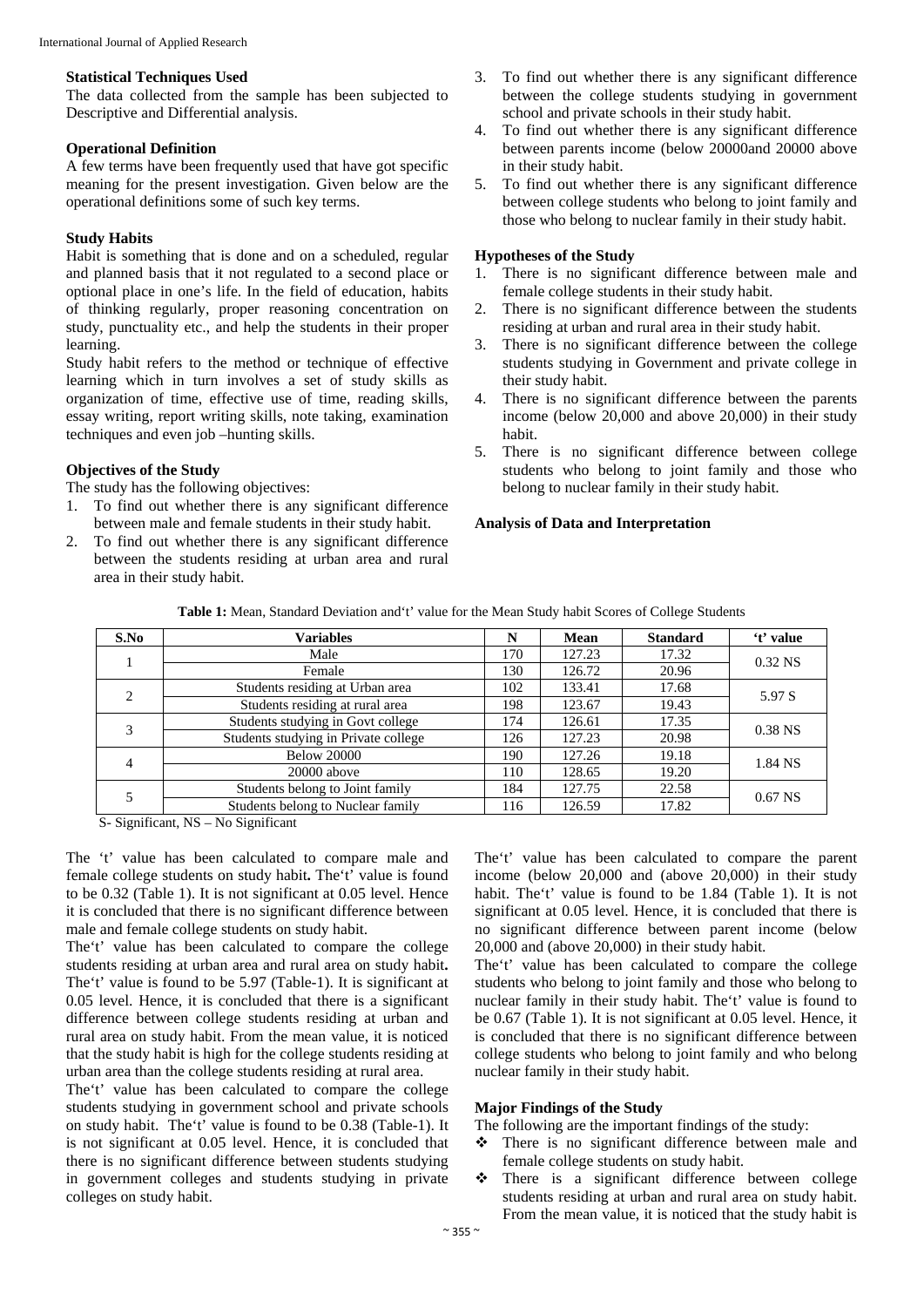#### **Statistical Techniques Used**

The data collected from the sample has been subjected to Descriptive and Differential analysis.

### **Operational Definition**

A few terms have been frequently used that have got specific meaning for the present investigation. Given below are the operational definitions some of such key terms.

#### **Study Habits**

Habit is something that is done and on a scheduled, regular and planned basis that it not regulated to a second place or optional place in one's life. In the field of education, habits of thinking regularly, proper reasoning concentration on study, punctuality etc., and help the students in their proper learning.

Study habit refers to the method or technique of effective learning which in turn involves a set of study skills as organization of time, effective use of time, reading skills, essay writing, report writing skills, note taking, examination techniques and even job –hunting skills.

#### **Objectives of the Study**

The study has the following objectives:

- 1. To find out whether there is any significant difference between male and female students in their study habit.
- 2. To find out whether there is any significant difference between the students residing at urban area and rural area in their study habit.
- 3. To find out whether there is any significant difference between the college students studying in government school and private schools in their study habit.
- 4. To find out whether there is any significant difference between parents income (below 20000and 20000 above in their study habit.
- 5. To find out whether there is any significant difference between college students who belong to joint family and those who belong to nuclear family in their study habit.

#### **Hypotheses of the Study**

- 1. There is no significant difference between male and female college students in their study habit.
- 2. There is no significant difference between the students residing at urban and rural area in their study habit.
- 3. There is no significant difference between the college students studying in Government and private college in their study habit.
- 4. There is no significant difference between the parents income (below 20,000 and above 20,000) in their study habit.
- 5. There is no significant difference between college students who belong to joint family and those who belong to nuclear family in their study habit.

## **Analysis of Data and Interpretation**

| Variables                            | N   | Mean   | <b>Standard</b> | 't' value |
|--------------------------------------|-----|--------|-----------------|-----------|
| Male                                 | 170 | 127.23 | 17.32           | $0.32$ NS |
| Female                               | 130 | 126.72 | 20.96           |           |
| Students residing at Urban area      | 102 | 133.41 | 17.68           | 5.97 S    |
| Students residing at rural area      | 198 | 123.67 | 19.43           |           |
| Students studying in Govt college    | 174 | 126.61 | 17.35           | $0.38$ NS |
| Students studying in Private college | 126 | 127.23 | 20.98           |           |
| <b>Below 20000</b>                   | 190 | 127.26 | 19.18           | 1.84 NS   |
| 20000 above                          | 110 | 128.65 | 19.20           |           |
| Students belong to Joint family      | 184 | 127.75 | 22.58           | $0.67$ NS |
| Students belong to Nuclear family    | 116 | 126.59 | 17.82           |           |
|                                      |     |        |                 |           |

S- Significant, NS – No Significant

The 't' value has been calculated to compare male and female college students on study habit**.** The't' value is found to be 0.32 (Table 1). It is not significant at 0.05 level. Hence it is concluded that there is no significant difference between male and female college students on study habit.

The't' value has been calculated to compare the college students residing at urban area and rural area on study habit**.**  The't' value is found to be 5.97 (Table-1). It is significant at 0.05 level. Hence, it is concluded that there is a significant difference between college students residing at urban and rural area on study habit. From the mean value, it is noticed that the study habit is high for the college students residing at urban area than the college students residing at rural area.

The't' value has been calculated to compare the college students studying in government school and private schools on study habit. The't' value is found to be 0.38 (Table-1). It is not significant at 0.05 level. Hence, it is concluded that there is no significant difference between students studying in government colleges and students studying in private colleges on study habit.

The't' value has been calculated to compare the parent income (below 20,000 and (above 20,000) in their study habit. The't' value is found to be 1.84 (Table 1). It is not significant at 0.05 level. Hence, it is concluded that there is no significant difference between parent income (below 20,000 and (above 20,000) in their study habit.

The't' value has been calculated to compare the college students who belong to joint family and those who belong to nuclear family in their study habit. The't' value is found to be 0.67 (Table 1). It is not significant at 0.05 level. Hence, it is concluded that there is no significant difference between college students who belong to joint family and who belong nuclear family in their study habit.

## **Major Findings of the Study**

The following are the important findings of the study:

- There is no significant difference between male and female college students on study habit.
- There is a significant difference between college students residing at urban and rural area on study habit. From the mean value, it is noticed that the study habit is